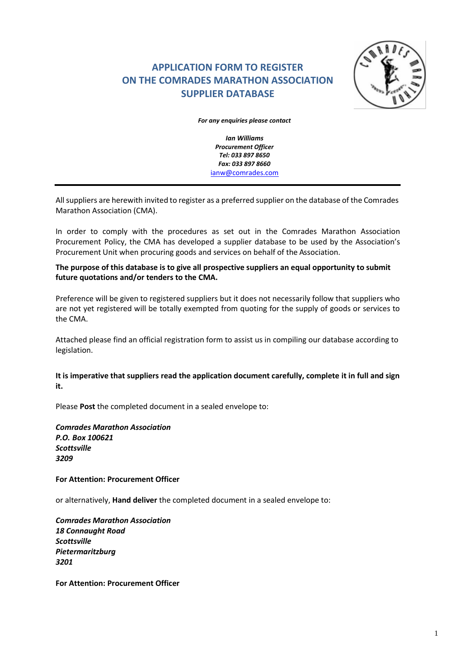# **APPLICATION FORM TO REGISTER ON THE COMRADES MARATHON ASSOCIATION SUPPLIER DATABASE**



*For any enquiries please contact*

*Ian Williams Procurement Officer Tel: 033 897 8650 Fax: 033 897 8660* [ianw@comrades.com](mailto:ianw@comrades.com)

Allsuppliers are herewith invited to register as a preferred supplier on the database of the Comrades Marathon Association (CMA).

In order to comply with the procedures as set out in the Comrades Marathon Association Procurement Policy, the CMA has developed a supplier database to be used by the Association's Procurement Unit when procuring goods and services on behalf of the Association.

# **The purpose of this database is to give all prospective suppliers an equal opportunity to submit future quotations and/or tenders to the CMA.**

Preference will be given to registered suppliers but it does not necessarily follow that suppliers who are not yet registered will be totally exempted from quoting for the supply of goods or services to the CMA.

Attached please find an official registration form to assist us in compiling our database according to legislation.

**It is imperative that suppliers read the application document carefully, complete it in full and sign it.**

Please **Post** the completed document in a sealed envelope to:

*Comrades Marathon Association P.O. Box 100621 Scottsville 3209*

# **For Attention: Procurement Officer**

or alternatively, **Hand deliver** the completed document in a sealed envelope to:

*Comrades Marathon Association 18 Connaught Road Scottsville Pietermaritzburg 3201*

**For Attention: Procurement Officer**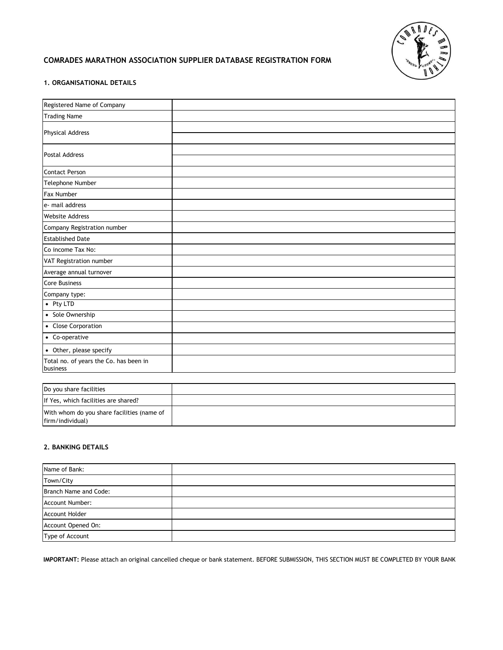

# **COMRADES MARATHON ASSOCIATION SUPPLIER DATABASE REGISTRATION FORM**

## **1. ORGANISATIONAL DETAILS**

| Registered Name of Company                         |  |
|----------------------------------------------------|--|
| <b>Trading Name</b>                                |  |
| <b>Physical Address</b>                            |  |
|                                                    |  |
| <b>Postal Address</b>                              |  |
|                                                    |  |
| <b>Contact Person</b>                              |  |
| Telephone Number                                   |  |
| <b>Fax Number</b>                                  |  |
| e- mail address                                    |  |
| <b>Website Address</b>                             |  |
| Company Registration number                        |  |
| <b>Established Date</b>                            |  |
| Co income Tax No:                                  |  |
| VAT Registration number                            |  |
| Average annual turnover                            |  |
| Core Business                                      |  |
| Company type:                                      |  |
| • Pty LTD                                          |  |
| • Sole Ownership                                   |  |
| • Close Corporation                                |  |
| • Co-operative                                     |  |
| • Other, please specify                            |  |
| Total no. of years the Co. has been in<br>business |  |

| Do you share facilities                                        |  |
|----------------------------------------------------------------|--|
| If Yes, which facilities are shared?                           |  |
| With whom do you share facilities (name of<br>firm/individual) |  |

# **2. BANKING DETAILS**

| Name of Bank:         |  |
|-----------------------|--|
| Town/City             |  |
| Branch Name and Code: |  |
| Account Number:       |  |
| <b>Account Holder</b> |  |
| Account Opened On:    |  |
| Type of Account       |  |

**IMPORTANT:** Please attach an original cancelled cheque or bank statement. BEFORE SUBMISSION, THIS SECTION MUST BE COMPLETED BY YOUR BANK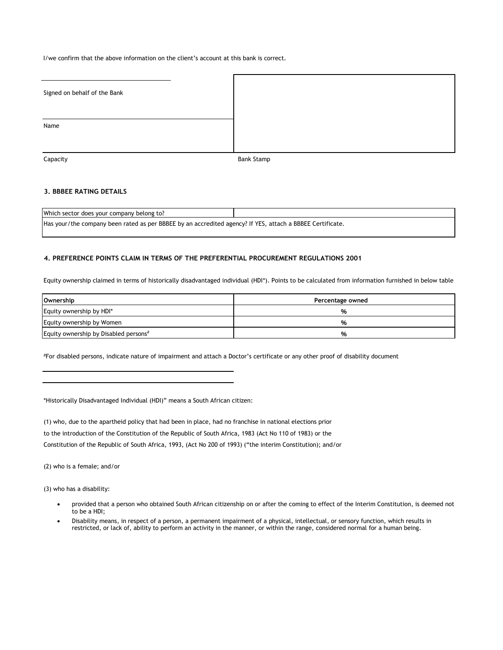I/we confirm that the above information on the client's account at this bank is correct.

| Signed on behalf of the Bank |                   |
|------------------------------|-------------------|
|                              |                   |
| Name                         |                   |
| Capacity                     | <b>Bank Stamp</b> |

## **3. BBBEE RATING DETAILS**

Which sector does your company belong to? Has your/the company been rated as per BBBEE by an accredited agency? If YES, attach a BBBEE Certificate.

#### **4. PREFERENCE POINTS CLAIM IN TERMS OF THE PREFERENTIAL PROCUREMENT REGULATIONS 2001**

Equity ownership claimed in terms of historically disadvantaged individual (HDI\*). Points to be calculated from information furnished in below table

| <b>Ownership</b>                      | Percentage owned |
|---------------------------------------|------------------|
| Equity ownership by HDI*              | %                |
| Equity ownership by Women             | %                |
| Equity ownership by Disabled persons# | %                |

#For disabled persons, indicate nature of impairment and attach a Doctor's certificate or any other proof of disability document

\*Historically Disadvantaged Individual (HDI)" means a South African citizen:

(1) who, due to the apartheid policy that had been in place, had no franchise in national elections prior to the introduction of the Constitution of the Republic of South Africa, 1983 (Act No 110 of 1983) or the Constitution of the Republic of South Africa, 1993, (Act No 200 of 1993) ("the interim Constitution); and/or

(2) who is a female; and/or

(3) who has a disability:

- provided that a person who obtained South African citizenship on or after the coming to effect of the Interim Constitution, is deemed not to be a HDI;
- Disability means, in respect of a person, a permanent impairment of a physical, intellectual, or sensory function, which results in restricted, or lack of, ability to perform an activity in the manner, or within the range, considered normal for a human being.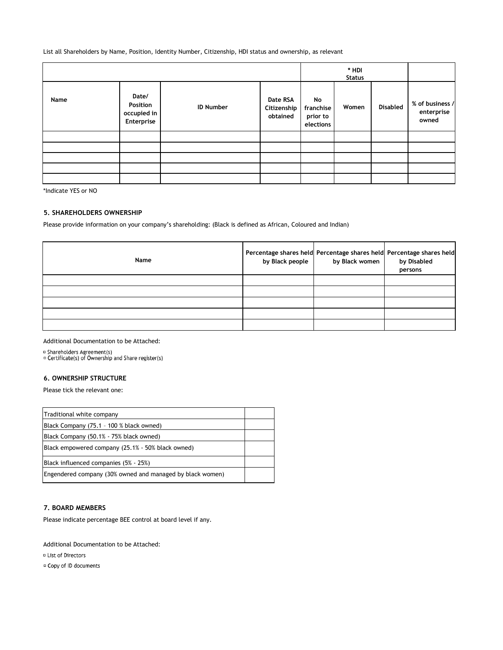List all Shareholders by Name, Position, Identity Number, Citizenship, HDI status and ownership, as relevant

|      |                                                |                  |                                     |                                          | * HDI<br><b>Status</b> |                 |                                        |
|------|------------------------------------------------|------------------|-------------------------------------|------------------------------------------|------------------------|-----------------|----------------------------------------|
| Name | Date/<br>Position<br>occupied in<br>Enterprise | <b>ID Number</b> | Date RSA<br>Citizenship<br>obtained | No<br>franchise<br>prior to<br>elections | Women                  | <b>Disabled</b> | % of business /<br>enterprise<br>owned |
|      |                                                |                  |                                     |                                          |                        |                 |                                        |
|      |                                                |                  |                                     |                                          |                        |                 |                                        |
|      |                                                |                  |                                     |                                          |                        |                 |                                        |
|      |                                                |                  |                                     |                                          |                        |                 |                                        |
|      |                                                |                  |                                     |                                          |                        |                 |                                        |

\*Indicate YES or NO

## **5. SHAREHOLDERS OWNERSHIP**

Please provide information on your company's shareholding: (Black is defined as African, Coloured and Indian)

| Name | by Black people | by Black women | Percentage shares held Percentage shares held Percentage shares held<br>by Disabled<br>persons |
|------|-----------------|----------------|------------------------------------------------------------------------------------------------|
|      |                 |                |                                                                                                |
|      |                 |                |                                                                                                |
|      |                 |                |                                                                                                |
|      |                 |                |                                                                                                |
|      |                 |                |                                                                                                |

#### Additional Documentation to be Attached:

¤ Shareholders Agreement(s)<br>¤ Certificate(s) of Ownership and Share register(s)

## **6. OWNERSHIP STRUCTURE**

Please tick the relevant one:

| Traditional white company                                 |  |
|-----------------------------------------------------------|--|
| Black Company (75.1 - 100 % black owned)                  |  |
| Black Company (50.1% - 75% black owned)                   |  |
| Black empowered company (25.1% - 50% black owned)         |  |
| Black influenced companies (5% - 25%)                     |  |
| Engendered company (30% owned and managed by black women) |  |

## **7. BOARD MEMBERS**

Please indicate percentage BEE control at board level if any.

Additional Documentation to be Attached:

<sup>□</sup> List of Directors

<sup>□</sup> Copy of ID documents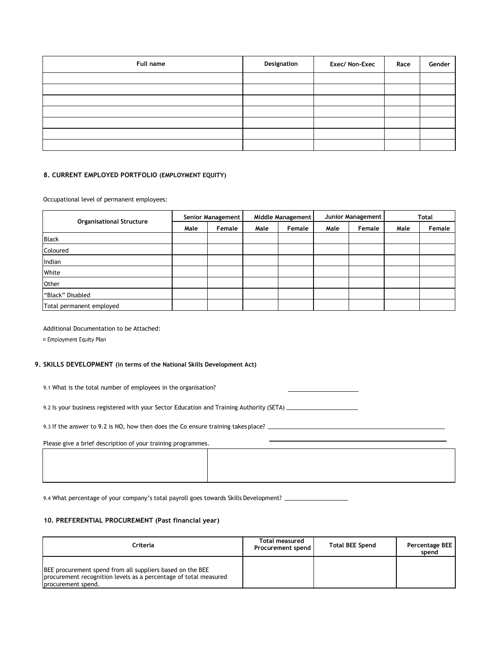| Full name | Designation | Exec/ Non-Exec | Race | Gender |
|-----------|-------------|----------------|------|--------|
|           |             |                |      |        |
|           |             |                |      |        |
|           |             |                |      |        |
|           |             |                |      |        |
|           |             |                |      |        |
|           |             |                |      |        |
|           |             |                |      |        |

#### **8. CURRENT EMPLOYED PORTFOLIO (EMPLOYMENT EQUITY)**

Occupational level of permanent employees:

| <b>Organisational Structure</b> | Senior Management |        | Middle Management |        | Junior Management |        | <b>Total</b> |        |
|---------------------------------|-------------------|--------|-------------------|--------|-------------------|--------|--------------|--------|
|                                 | Male              | Female | Male              | Female | Male              | Female | Male         | Female |
| <b>Black</b>                    |                   |        |                   |        |                   |        |              |        |
| Coloured                        |                   |        |                   |        |                   |        |              |        |
| Indian                          |                   |        |                   |        |                   |        |              |        |
| White                           |                   |        |                   |        |                   |        |              |        |
| Other                           |                   |        |                   |        |                   |        |              |        |
| "Black" Disabled                |                   |        |                   |        |                   |        |              |        |
| Total permanent employed        |                   |        |                   |        |                   |        |              |        |

Additional Documentation to be Attached:

<sup>□</sup> Employment Equity Plan

#### **9. SKILLS DEVELOPMENT (in terms of the National Skills Development Act)**

9.1 What is the total number of employees in the organisation?

9.2 Is your business registered with your Sector Education and Training Authority (SETA) \_\_\_\_\_\_\_\_\_\_\_\_\_\_\_\_\_\_\_\_

9.3 If the answer to 9.2 is NO, how then does the Co ensure training takes place? \_\_\_\_\_\_\_\_\_\_\_\_\_\_\_\_\_\_\_\_\_\_\_\_\_\_\_\_

Please give a brief description of your training programmes.

9.4 What percentage of your company's total payroll goes towards Skills Development?

#### **10. PREFERENTIAL PROCUREMENT (Past financial year)**

| Criteria                                                                                                                                            | Total measured<br><b>Procurement spend</b> | <b>Total BEE Spend</b> | Percentage BEE<br>spend |
|-----------------------------------------------------------------------------------------------------------------------------------------------------|--------------------------------------------|------------------------|-------------------------|
| BEE procurement spend from all suppliers based on the BEE<br>procurement recognition levels as a percentage of total measured<br>procurement spend. |                                            |                        |                         |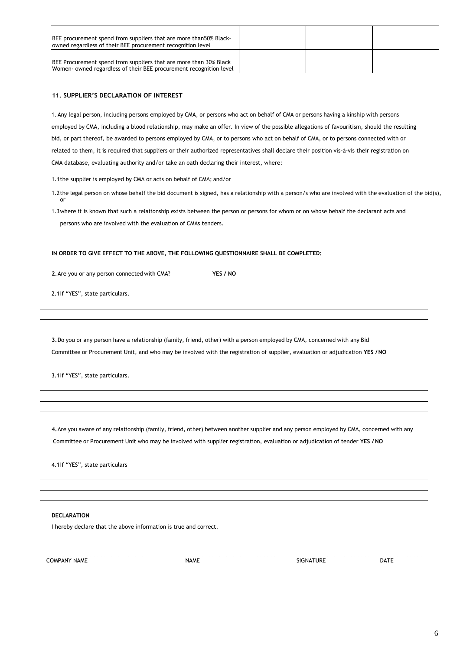| BEE procurement spend from suppliers that are more than 50% Black-<br>owned regardless of their BEE procurement recognition level              |  |  |
|------------------------------------------------------------------------------------------------------------------------------------------------|--|--|
| <b>BEE Procurement spend from suppliers that are more than 30% Black</b><br>Women- owned regardless of their BEE procurement recognition level |  |  |

#### **11. SUPPLIER'S DECLARATION OF INTEREST**

1. Any legal person, including persons employed by CMA, or persons who act on behalf of CMA or persons having a kinship with persons employed by CMA, including a blood relationship, may make an offer. In view of the possible allegations of favouritism, should the resulting bid, or part thereof, be awarded to persons employed by CMA, or to persons who act on behalf of CMA, or to persons connected with or related to them, it is required that suppliers or their authorized representatives shall declare their position vis-à-vis their registration on CMA database, evaluating authority and/or take an oath declaring their interest, where:

1.1the supplier is employed by CMA or acts on behalf of CMA; and/or

- 1.2the legal person on whose behalf the bid document is signed, has a relationship with a person/s who are involved with the evaluation of the bid(s), or
- 1.3where it is known that such a relationship exists between the person or persons for whom or on whose behalf the declarant acts and persons who are involved with the evaluation of CMAs tenders.

#### **IN ORDER TO GIVE EFFECT TO THE ABOVE, THE FOLLOWING QUESTIONNAIRE SHALL BE COMPLETED:**

**2.**Are you or any person connected with CMA? **YES / NO**

2.1If "YES", state particulars.

**3.**Do you or any person have a relationship (family, friend, other) with a person employed by CMA, concerned with any Bid Committee or Procurement Unit, and who may be involved with the registration of supplier, evaluation or adjudication **YES /NO**

3.1If "YES", state particulars.

**4.**Are you aware of any relationship (family, friend, other) between another supplier and any person employed by CMA, concerned with any Committee or Procurement Unit who may be involved with supplier registration, evaluation or adjudication of tender **YES /NO**

4.1If "YES", state particulars

#### **DECLARATION**

I hereby declare that the above information is true and correct.

COMPANY NAME DATE DATE NAME SIGNATURE DATE

\_\_\_\_\_\_\_\_\_\_\_\_\_\_\_\_\_\_\_\_\_\_\_\_\_\_\_\_\_ \_\_\_\_\_\_\_\_\_\_\_\_\_\_\_\_\_\_\_\_\_\_\_\_\_\_\_ \_\_\_\_\_\_\_\_\_\_\_\_\_\_\_\_\_\_\_\_\_\_ \_\_\_\_\_\_\_\_\_\_\_\_\_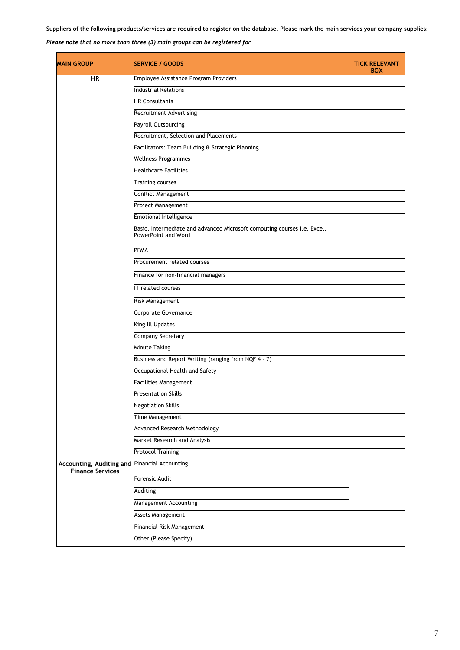# *Please note that no more than three (3) main groups can be registered for*

| <b>MAIN GROUP</b>                                   | <b>SERVICE / GOODS</b>                                                                          | <b>TICK RELEVANT</b><br><b>BOX</b> |
|-----------------------------------------------------|-------------------------------------------------------------------------------------------------|------------------------------------|
| <b>HR</b>                                           | Employee Assistance Program Providers                                                           |                                    |
|                                                     | <b>Industrial Relations</b>                                                                     |                                    |
|                                                     | <b>HR Consultants</b>                                                                           |                                    |
|                                                     | Recruitment Advertising                                                                         |                                    |
|                                                     | Payroll Outsourcing                                                                             |                                    |
|                                                     | Recruitment, Selection and Placements                                                           |                                    |
|                                                     | Facilitators: Team Building & Strategic Planning                                                |                                    |
|                                                     | <b>Wellness Programmes</b>                                                                      |                                    |
|                                                     | <b>Healthcare Facilities</b>                                                                    |                                    |
|                                                     | <b>Training courses</b>                                                                         |                                    |
|                                                     | <b>Conflict Management</b>                                                                      |                                    |
|                                                     | Project Management                                                                              |                                    |
|                                                     | <b>Emotional Intelligence</b>                                                                   |                                    |
|                                                     | Basic, Intermediate and advanced Microsoft computing courses i.e. Excel,<br>PowerPoint and Word |                                    |
|                                                     | PFMA                                                                                            |                                    |
|                                                     | Procurement related courses                                                                     |                                    |
|                                                     | Finance for non-financial managers                                                              |                                    |
|                                                     | IT related courses                                                                              |                                    |
|                                                     | Risk Management                                                                                 |                                    |
|                                                     | Corporate Governance                                                                            |                                    |
|                                                     | King III Updates                                                                                |                                    |
|                                                     | <b>Company Secretary</b>                                                                        |                                    |
|                                                     | <b>Minute Taking</b>                                                                            |                                    |
|                                                     | Business and Report Writing (ranging from NQF 4 - 7)                                            |                                    |
|                                                     | Occupational Health and Safety                                                                  |                                    |
|                                                     | <b>Facilities Management</b>                                                                    |                                    |
|                                                     | <b>Presentation Skills</b>                                                                      |                                    |
|                                                     | <b>Negotiation Skills</b>                                                                       |                                    |
|                                                     | Time Management                                                                                 |                                    |
|                                                     | <b>Advanced Research Methodology</b>                                                            |                                    |
|                                                     | Market Research and Analysis                                                                    |                                    |
|                                                     | <b>Protocol Training</b>                                                                        |                                    |
| Accounting, Auditing and<br><b>Finance Services</b> | <b>Financial Accounting</b>                                                                     |                                    |
|                                                     | Forensic Audit                                                                                  |                                    |
|                                                     | Auditing                                                                                        |                                    |
|                                                     | Management Accounting                                                                           |                                    |
|                                                     | Assets Management                                                                               |                                    |
|                                                     | Financial Risk Management                                                                       |                                    |
|                                                     | Other (Please Specify)                                                                          |                                    |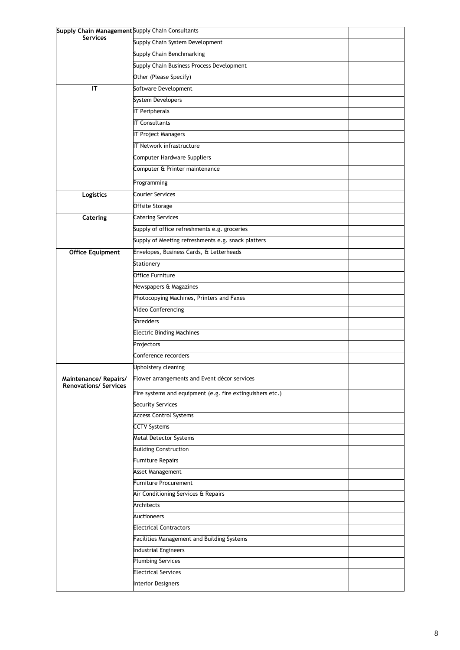| Supply Chain Management Supply Chain Consultants     |                                                                     |  |
|------------------------------------------------------|---------------------------------------------------------------------|--|
| <b>Services</b>                                      | Supply Chain System Development                                     |  |
|                                                      | Supply Chain Benchmarking                                           |  |
|                                                      | Supply Chain Business Process Development                           |  |
|                                                      | Other (Please Specify)                                              |  |
| IT                                                   | Software Development                                                |  |
|                                                      | System Developers                                                   |  |
|                                                      | <b>IT Peripherals</b>                                               |  |
|                                                      | <b>IT Consultants</b>                                               |  |
|                                                      | <b>IT Project Managers</b>                                          |  |
|                                                      | IT Network infrastructure                                           |  |
|                                                      | <b>Computer Hardware Suppliers</b>                                  |  |
|                                                      | Computer & Printer maintenance                                      |  |
|                                                      | Programming                                                         |  |
| Logistics                                            | Courier Services                                                    |  |
|                                                      | Offsite Storage                                                     |  |
| Catering                                             | <b>Catering Services</b>                                            |  |
|                                                      | Supply of office refreshments e.g. groceries                        |  |
|                                                      | Supply of Meeting refreshments e.g. snack platters                  |  |
| <b>Office Equipment</b>                              | Envelopes, Business Cards, & Letterheads                            |  |
|                                                      | Stationery                                                          |  |
|                                                      | Office Furniture                                                    |  |
|                                                      |                                                                     |  |
|                                                      | Newspapers & Magazines                                              |  |
|                                                      | Photocopying Machines, Printers and Faxes<br>Video Conferencing     |  |
|                                                      | <b>Shredders</b>                                                    |  |
|                                                      | <b>Electric Binding Machines</b>                                    |  |
|                                                      | Projectors                                                          |  |
|                                                      | Conference recorders                                                |  |
|                                                      |                                                                     |  |
|                                                      | Upholstery cleaning<br>Flower arrangements and Event décor services |  |
| Maintenance/Repairs/<br><b>Renovations/ Services</b> |                                                                     |  |
|                                                      | Fire systems and equipment (e.g. fire extinguishers etc.)           |  |
|                                                      | <b>Security Services</b>                                            |  |
|                                                      | <b>Access Control Systems</b>                                       |  |
|                                                      | <b>CCTV Systems</b>                                                 |  |
|                                                      | Metal Detector Systems                                              |  |
|                                                      | <b>Building Construction</b>                                        |  |
|                                                      | <b>Furniture Repairs</b>                                            |  |
|                                                      | <b>Asset Management</b>                                             |  |
|                                                      | Furniture Procurement                                               |  |
|                                                      | Air Conditioning Services & Repairs                                 |  |
|                                                      | Architects                                                          |  |
|                                                      | Auctioneers                                                         |  |
|                                                      | <b>Electrical Contractors</b>                                       |  |
|                                                      | Facilities Management and Building Systems                          |  |
|                                                      | <b>Industrial Engineers</b><br><b>Plumbing Services</b>             |  |
|                                                      | <b>Electrical Services</b>                                          |  |
|                                                      | <b>Interior Designers</b>                                           |  |
|                                                      |                                                                     |  |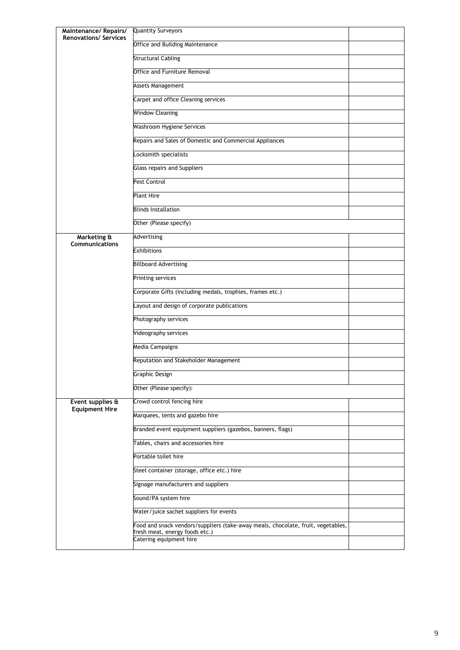| Maintenance/ Repairs/<br><b>Renovations/ Services</b> | <b>Quantity Surveyors</b>                                                                                          |  |
|-------------------------------------------------------|--------------------------------------------------------------------------------------------------------------------|--|
|                                                       | Office and Building Maintenance                                                                                    |  |
|                                                       | <b>Structural Cabling</b>                                                                                          |  |
|                                                       | Office and Furniture Removal                                                                                       |  |
|                                                       | Assets Management                                                                                                  |  |
|                                                       | Carpet and office Cleaning services                                                                                |  |
|                                                       | <b>Window Cleaning</b>                                                                                             |  |
|                                                       | Washroom Hygiene Services                                                                                          |  |
|                                                       | Repairs and Sales of Domestic and Commercial Appliances                                                            |  |
|                                                       | Locksmith specialists                                                                                              |  |
|                                                       | <b>Glass repairs and Suppliers</b>                                                                                 |  |
|                                                       | Pest Control                                                                                                       |  |
|                                                       | <b>Plant Hire</b>                                                                                                  |  |
|                                                       | <b>Blinds Installation</b>                                                                                         |  |
|                                                       | Other (Please specify)                                                                                             |  |
| Marketing &<br><b>Communications</b>                  | Advertising                                                                                                        |  |
|                                                       | <b>Exhibitions</b>                                                                                                 |  |
|                                                       | <b>Billboard Advertising</b>                                                                                       |  |
|                                                       | Printing services                                                                                                  |  |
|                                                       | Corporate Gifts (including medals, trophies, frames etc.)                                                          |  |
|                                                       | Layout and design of corporate publications                                                                        |  |
|                                                       | Photography services                                                                                               |  |
|                                                       | Videography services                                                                                               |  |
|                                                       | Media Campaigns                                                                                                    |  |
|                                                       | Reputation and Stakeholder Management                                                                              |  |
|                                                       | Graphic Design                                                                                                     |  |
|                                                       | Other (Please specify):                                                                                            |  |
| Event supplies &<br><b>Equipment Hire</b>             | Crowd control fencing hire                                                                                         |  |
|                                                       | Marquees, tents and gazebo hire                                                                                    |  |
|                                                       | Branded event equipment suppliers (gazebos, banners, flags)                                                        |  |
|                                                       | Tables, chairs and accessories hire                                                                                |  |
|                                                       | Portable toilet hire                                                                                               |  |
|                                                       | Steel container (storage, office etc.) hire                                                                        |  |
|                                                       | Signage manufacturers and suppliers                                                                                |  |
|                                                       | Sound/PA system hire                                                                                               |  |
|                                                       | Water/juice sachet suppliers for events                                                                            |  |
|                                                       | Food and snack vendors/suppliers (take-away meals, chocolate, fruit, vegetables,<br>fresh meat, energy foods etc.) |  |
|                                                       | Catering equipment hire                                                                                            |  |
|                                                       |                                                                                                                    |  |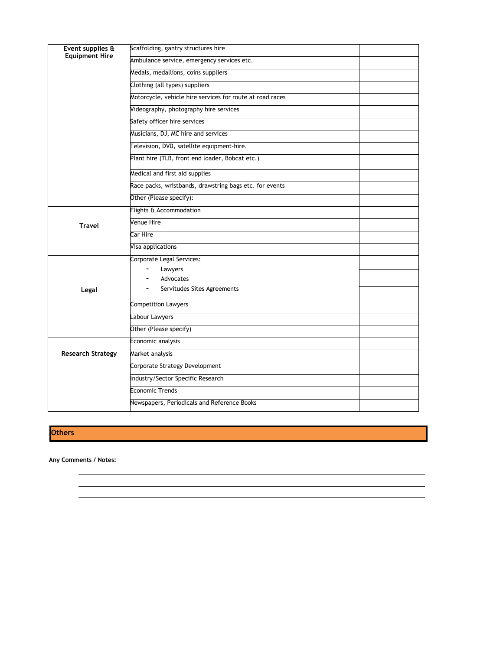| Event supplies &<br><b>Equipment Hire</b> | Scaffolding, gantry structures hire                       |  |
|-------------------------------------------|-----------------------------------------------------------|--|
|                                           | Ambulance service, emergency services etc.                |  |
|                                           | Medals, medallions, coins suppliers                       |  |
|                                           | Clothing (all types) suppliers                            |  |
|                                           | Motorcycle, vehicle hire services for route at road races |  |
|                                           | Videography, photography hire services                    |  |
|                                           | Safety officer hire services                              |  |
|                                           | Musicians, DJ, MC hire and services                       |  |
|                                           | Television, DVD, satellite equipment-hire.                |  |
|                                           | Plant hire (TLB, front end loader, Bobcat etc.)           |  |
|                                           | Medical and first aid supplies                            |  |
|                                           | Race packs, wristbands, drawstring bags etc. for events   |  |
|                                           | Other (Please specify):                                   |  |
|                                           | Flights & Accommodation                                   |  |
| <b>Travel</b>                             | <b>Venue Hire</b>                                         |  |
|                                           | Car Hire                                                  |  |
|                                           | Visa applications                                         |  |
|                                           | Corporate Legal Services:                                 |  |
|                                           | Lawyers                                                   |  |
|                                           | Advocates                                                 |  |
| Legal                                     | Servitudes Sites Agreements                               |  |
|                                           | <b>Competition Lawyers</b>                                |  |
|                                           | Labour Lawyers                                            |  |
|                                           | Other (Please specify)                                    |  |
|                                           | Economic analysis                                         |  |
| <b>Research Strategy</b>                  | Market analysis                                           |  |
|                                           | Corporate Strategy Development                            |  |
|                                           | Industry/Sector Specific Research                         |  |
|                                           | <b>Economic Trends</b>                                    |  |
|                                           | Newspapers, Periodicals and Reference Books               |  |
|                                           |                                                           |  |

**Others**

**Any Comments / Notes:**